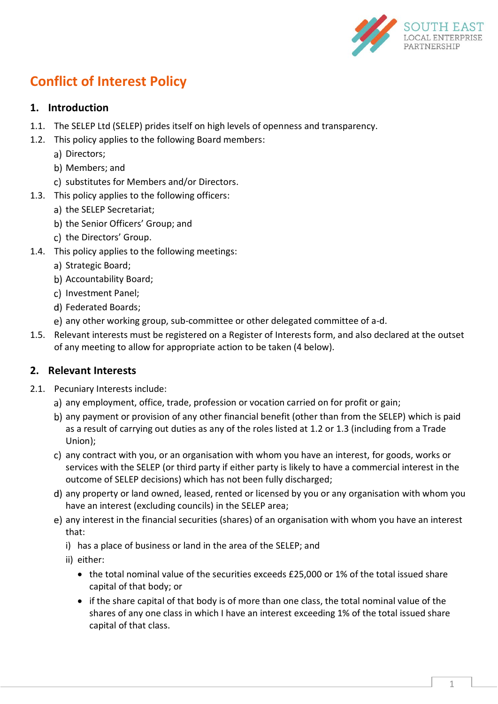

# **Conflict of Interest Policy**

# **1. Introduction**

- 1.1. The SELEP Ltd (SELEP) prides itself on high levels of openness and transparency.
- <span id="page-0-0"></span>1.2. This policy applies to the following Board members:
	- a) Directors;
	- b) Members; and
	- c) substitutes for Members and/or Directors.
- <span id="page-0-1"></span>1.3. This policy applies to the following officers:
	- a) the SELEP Secretariat:
	- b) the Senior Officers' Group; and
	- c) the Directors' Group.
- <span id="page-0-2"></span>1.4. This policy applies to the following meetings:
	- a) Strategic Board;
	- b) Accountability Board;
	- c) Investment Panel;
	- d) Federated Boards;
	- any other working group, sub-committee or other delegated committee of a-d.
- 1.5. Relevant interests must be registered on a Register of Interests form, and also declared at the outset of any meeting to allow for appropriate action to be taken [\(4 below\)](#page-1-0).

## <span id="page-0-3"></span>**2. Relevant Interests**

- 2.1. Pecuniary Interests include:
	- a) any employment, office, trade, profession or vocation carried on for profit or gain;
	- any payment or provision of any other financial benefit (other than from the SELEP) which is paid as a result of carrying out duties as any of the roles listed at [1.2](#page-0-0) or [1.3](#page-0-1) (including from a Trade Union);
	- c) any contract with you, or an organisation with whom you have an interest, for goods, works or services with the SELEP (or third party if either party is likely to have a commercial interest in the outcome of SELEP decisions) which has not been fully discharged;
	- any property or land owned, leased, rented or licensed by you or any organisation with whom you have an interest (excluding councils) in the SELEP area;
	- e) any interest in the financial securities (shares) of an organisation with whom you have an interest that:
		- i) has a place of business or land in the area of the SELEP; and
		- ii) either:
			- the total nominal value of the securities exceeds £25,000 or 1% of the total issued share capital of that body; or
			- if the share capital of that body is of more than one class, the total nominal value of the shares of any one class in which I have an interest exceeding 1% of the total issued share capital of that class.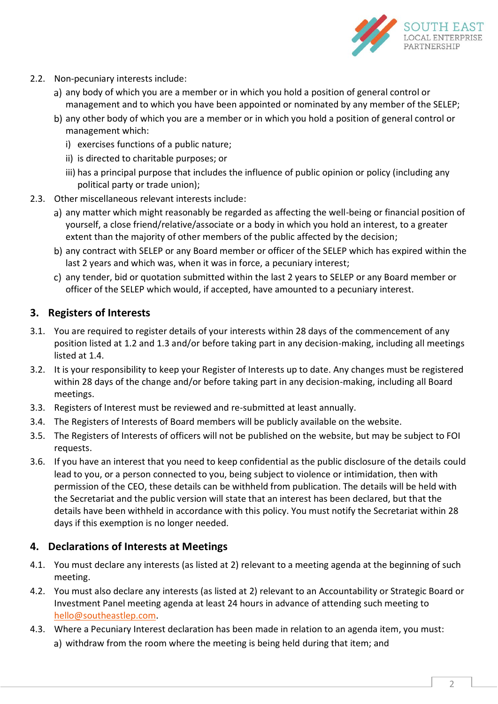

- 2.2. Non-pecuniary interests include:
	- a) any body of which you are a member or in which you hold a position of general control or management and to which you have been appointed or nominated by any member of the SELEP;
	- b) any other body of which you are a member or in which you hold a position of general control or management which:
		- i) exercises functions of a public nature;
		- ii) is directed to charitable purposes; or
		- iii) has a principal purpose that includes the influence of public opinion or policy (including any political party or trade union);
- 2.3. Other miscellaneous relevant interests include:
	- a) any matter which might reasonably be regarded as affecting the well-being or financial position of yourself, a close friend/relative/associate or a body in which you hold an interest, to a greater extent than the majority of other members of the public affected by the decision;
	- b) any contract with SELEP or any Board member or officer of the SELEP which has expired within the last 2 years and which was, when it was in force, a pecuniary interest;
	- any tender, bid or quotation submitted within the last 2 years to SELEP or any Board member or officer of the SELEP which would, if accepted, have amounted to a pecuniary interest.

#### **3. Registers of Interests**

- 3.1. You are required to register details of your interests within 28 days of the commencement of any position listed at [1.2](#page-0-0) and [1.3](#page-0-1) and/or before taking part in any decision-making, including all meetings listed at [1.4.](#page-0-2)
- 3.2. It is your responsibility to keep your Register of Interests up to date. Any changes must be registered within 28 days of the change and/or before taking part in any decision-making, including all Board meetings.
- 3.3. Registers of Interest must be reviewed and re-submitted at least annually.
- 3.4. The Registers of Interests of Board members will be publicly available on the website.
- 3.5. The Registers of Interests of officers will not be published on the website, but may be subject to FOI requests.
- <span id="page-1-1"></span>3.6. If you have an interest that you need to keep confidential as the public disclosure of the details could lead to you, or a person connected to you, being subject to violence or intimidation, then with permission of the CEO, these details can be withheld from publication. The details will be held with the Secretariat and the public version will state that an interest has been declared, but that the details have been withheld in accordance with this policy. You must notify the Secretariat within 28 days if this exemption is no longer needed.

## <span id="page-1-0"></span>**4. Declarations of Interests at Meetings**

- 4.1. You must declare any interests (as listed at [2\)](#page-0-3) relevant to a meeting agenda at the beginning of such meeting.
- 4.2. You must also declare any interests (as listed at [2\)](#page-0-3) relevant to an Accountability or Strategic Board or Investment Panel meeting agenda at least 24 hours in advance of attending such meeting to [hello@southeastlep.com.](mailto:hello@southeastlep.com)
- <span id="page-1-2"></span>4.3. Where a Pecuniary Interest declaration has been made in relation to an agenda item, you must: withdraw from the room where the meeting is being held during that item; and